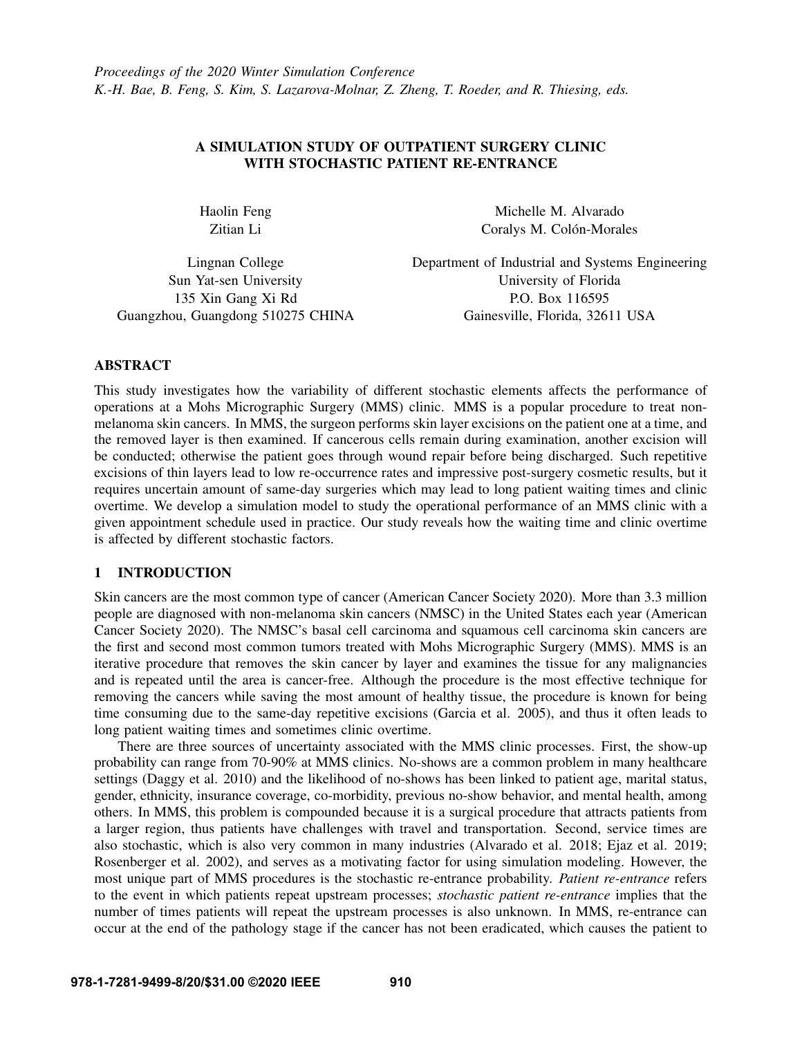# A SIMULATION STUDY OF OUTPATIENT SURGERY CLINIC WITH STOCHASTIC PATIENT RE-ENTRANCE

Haolin Feng Zitian Li

Michelle M. Alvarado Coralys M. Colón-Morales

Lingnan College Sun Yat-sen University 135 Xin Gang Xi Rd Guangzhou, Guangdong 510275 CHINA Department of Industrial and Systems Engineering University of Florida P.O. Box 116595 Gainesville, Florida, 32611 USA

## ABSTRACT

This study investigates how the variability of different stochastic elements affects the performance of operations at a Mohs Micrographic Surgery (MMS) clinic. MMS is a popular procedure to treat nonmelanoma skin cancers. In MMS, the surgeon performs skin layer excisions on the patient one at a time, and the removed layer is then examined. If cancerous cells remain during examination, another excision will be conducted; otherwise the patient goes through wound repair before being discharged. Such repetitive excisions of thin layers lead to low re-occurrence rates and impressive post-surgery cosmetic results, but it requires uncertain amount of same-day surgeries which may lead to long patient waiting times and clinic overtime. We develop a simulation model to study the operational performance of an MMS clinic with a given appointment schedule used in practice. Our study reveals how the waiting time and clinic overtime is affected by different stochastic factors.

# 1 INTRODUCTION

Skin cancers are the most common type of cancer [\(American Cancer Society 2020\)](#page-10-0). More than 3.3 million people are diagnosed with non-melanoma skin cancers (NMSC) in the United States each year [\(American](#page-10-0) [Cancer Society 2020\)](#page-10-0). The NMSC's basal cell carcinoma and squamous cell carcinoma skin cancers are the first and second most common tumors treated with Mohs Micrographic Surgery (MMS). MMS is an iterative procedure that removes the skin cancer by layer and examines the tissue for any malignancies and is repeated until the area is cancer-free. Although the procedure is the most effective technique for removing the cancers while saving the most amount of healthy tissue, the procedure is known for being time consuming due to the same-day repetitive excisions [\(Garcia et al. 2005\)](#page-11-0), and thus it often leads to long patient waiting times and sometimes clinic overtime.

There are three sources of uncertainty associated with the MMS clinic processes. First, the show-up probability can range from 70-90% at MMS clinics. No-shows are a common problem in many healthcare settings [\(Daggy et al. 2010\)](#page-10-1) and the likelihood of no-shows has been linked to patient age, marital status, gender, ethnicity, insurance coverage, co-morbidity, previous no-show behavior, and mental health, among others. In MMS, this problem is compounded because it is a surgical procedure that attracts patients from a larger region, thus patients have challenges with travel and transportation. Second, service times are also stochastic, which is also very common in many industries [\(Alvarado et al. 2018;](#page-10-2) [Ejaz et al. 2019;](#page-10-3) [Rosenberger et al. 2002\)](#page-11-1), and serves as a motivating factor for using simulation modeling. However, the most unique part of MMS procedures is the stochastic re-entrance probability. *Patient re-entrance* refers to the event in which patients repeat upstream processes; *stochastic patient re-entrance* implies that the number of times patients will repeat the upstream processes is also unknown. In MMS, re-entrance can occur at the end of the pathology stage if the cancer has not been eradicated, which causes the patient to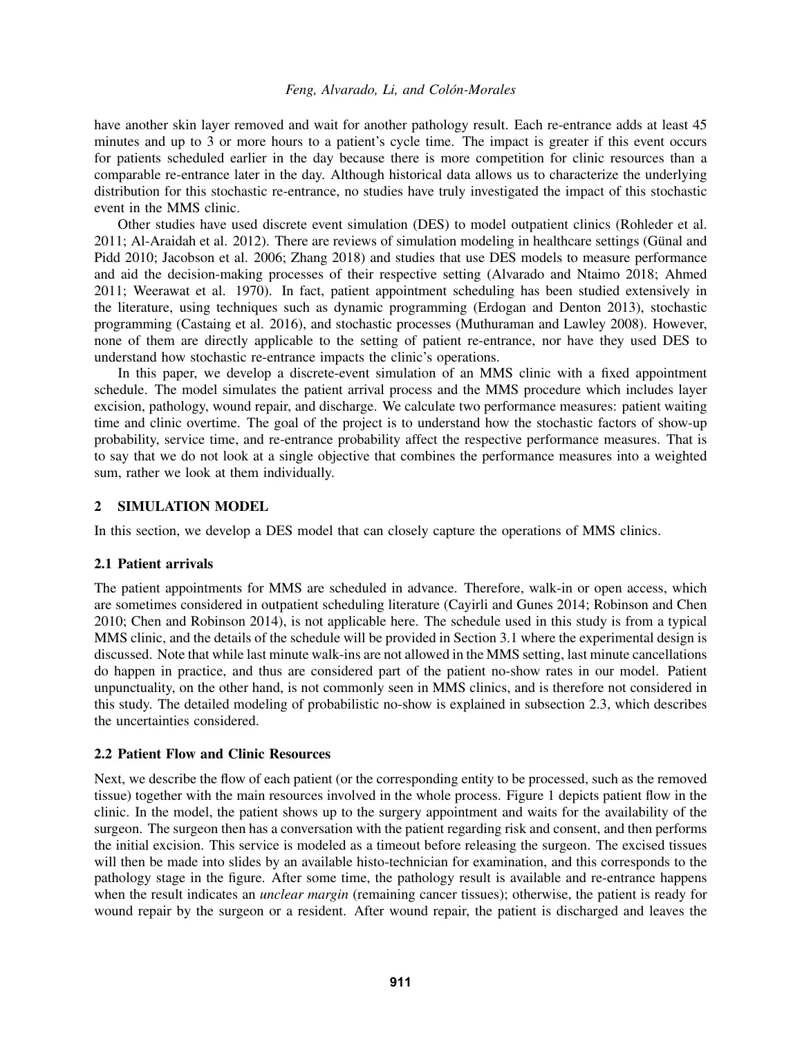have another skin layer removed and wait for another pathology result. Each re-entrance adds at least 45 minutes and up to 3 or more hours to a patient's cycle time. The impact is greater if this event occurs for patients scheduled earlier in the day because there is more competition for clinic resources than a comparable re-entrance later in the day. Although historical data allows us to characterize the underlying distribution for this stochastic re-entrance, no studies have truly investigated the impact of this stochastic event in the MMS clinic.

Other studies have used discrete event simulation (DES) to model outpatient clinics [\(Rohleder et al.](#page-11-2) [2011;](#page-11-2) [Al-Araidah et al. 2012\)](#page-10-4). There are reviews of simulation modeling in healthcare settings (Günal and [Pidd 2010;](#page-11-3) [Jacobson et al. 2006;](#page-11-4) [Zhang 2018\)](#page-11-5) and studies that use DES models to measure performance and aid the decision-making processes of their respective setting [\(Alvarado and Ntaimo 2018;](#page-10-5) [Ahmed](#page-10-6) [2011;](#page-10-6) [Weerawat et al. 1970\)](#page-11-6). In fact, patient appointment scheduling has been studied extensively in the literature, using techniques such as dynamic programming [\(Erdogan and Denton 2013\)](#page-11-7), stochastic programming [\(Castaing et al. 2016\)](#page-10-7), and stochastic processes [\(Muthuraman and Lawley 2008\)](#page-11-8). However, none of them are directly applicable to the setting of patient re-entrance, nor have they used DES to understand how stochastic re-entrance impacts the clinic's operations.

In this paper, we develop a discrete-event simulation of an MMS clinic with a fixed appointment schedule. The model simulates the patient arrival process and the MMS procedure which includes layer excision, pathology, wound repair, and discharge. We calculate two performance measures: patient waiting time and clinic overtime. The goal of the project is to understand how the stochastic factors of show-up probability, service time, and re-entrance probability affect the respective performance measures. That is to say that we do not look at a single objective that combines the performance measures into a weighted sum, rather we look at them individually.

# 2 SIMULATION MODEL

In this section, we develop a DES model that can closely capture the operations of MMS clinics.

## 2.1 Patient arrivals

The patient appointments for MMS are scheduled in advance. Therefore, walk-in or open access, which are sometimes considered in outpatient scheduling literature [\(Cayirli and Gunes 2014;](#page-10-8) [Robinson and Chen](#page-11-9) [2010;](#page-11-9) [Chen and Robinson 2014\)](#page-10-9), is not applicable here. The schedule used in this study is from a typical MMS clinic, and the details of the schedule will be provided in Section [3.1](#page-3-0) where the experimental design is discussed. Note that while last minute walk-ins are not allowed in the MMS setting, last minute cancellations do happen in practice, and thus are considered part of the patient no-show rates in our model. Patient unpunctuality, on the other hand, is not commonly seen in MMS clinics, and is therefore not considered in this study. The detailed modeling of probabilistic no-show is explained in subsection [2.3,](#page-2-0) which describes the uncertainties considered.

## <span id="page-1-0"></span>2.2 Patient Flow and Clinic Resources

Next, we describe the flow of each patient (or the corresponding entity to be processed, such as the removed tissue) together with the main resources involved in the whole process. Figure [1](#page-2-1) depicts patient flow in the clinic. In the model, the patient shows up to the surgery appointment and waits for the availability of the surgeon. The surgeon then has a conversation with the patient regarding risk and consent, and then performs the initial excision. This service is modeled as a timeout before releasing the surgeon. The excised tissues will then be made into slides by an available histo-technician for examination, and this corresponds to the pathology stage in the figure. After some time, the pathology result is available and re-entrance happens when the result indicates an *unclear margin* (remaining cancer tissues); otherwise, the patient is ready for wound repair by the surgeon or a resident. After wound repair, the patient is discharged and leaves the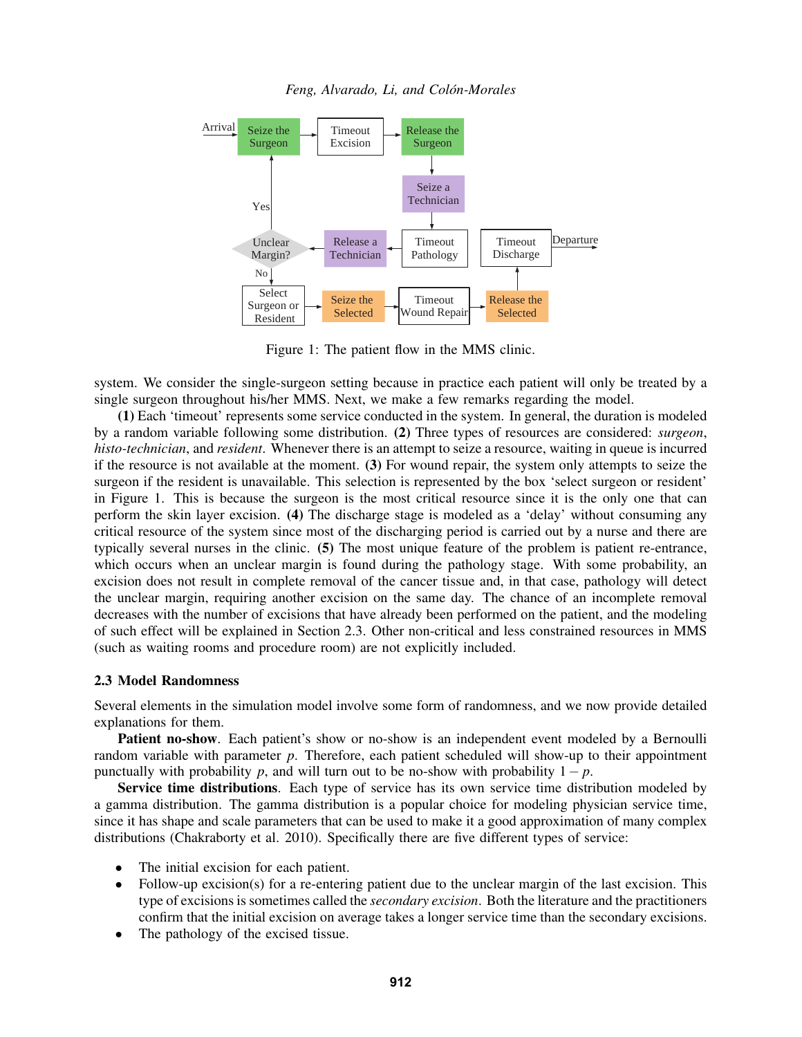



<span id="page-2-1"></span>Figure 1: The patient flow in the MMS clinic.

system. We consider the single-surgeon setting because in practice each patient will only be treated by a single surgeon throughout his/her MMS. Next, we make a few remarks regarding the model.

(1) Each 'timeout' represents some service conducted in the system. In general, the duration is modeled by a random variable following some distribution. (2) Three types of resources are considered: *surgeon*, *histo-technician*, and *resident*. Whenever there is an attempt to seize a resource, waiting in queue is incurred if the resource is not available at the moment. (3) For wound repair, the system only attempts to seize the surgeon if the resident is unavailable. This selection is represented by the box 'select surgeon or resident' in Figure [1.](#page-2-1) This is because the surgeon is the most critical resource since it is the only one that can perform the skin layer excision. (4) The discharge stage is modeled as a 'delay' without consuming any critical resource of the system since most of the discharging period is carried out by a nurse and there are typically several nurses in the clinic. (5) The most unique feature of the problem is patient re-entrance, which occurs when an unclear margin is found during the pathology stage. With some probability, an excision does not result in complete removal of the cancer tissue and, in that case, pathology will detect the unclear margin, requiring another excision on the same day. The chance of an incomplete removal decreases with the number of excisions that have already been performed on the patient, and the modeling of such effect will be explained in Section [2.3.](#page-2-0) Other non-critical and less constrained resources in MMS (such as waiting rooms and procedure room) are not explicitly included.

## <span id="page-2-0"></span>2.3 Model Randomness

Several elements in the simulation model involve some form of randomness, and we now provide detailed explanations for them.

**Patient no-show**. Each patient's show or no-show is an independent event modeled by a Bernoulli random variable with parameter *p*. Therefore, each patient scheduled will show-up to their appointment punctually with probability *p*, and will turn out to be no-show with probability  $1-p$ .

Service time distributions. Each type of service has its own service time distribution modeled by a gamma distribution. The gamma distribution is a popular choice for modeling physician service time, since it has shape and scale parameters that can be used to make it a good approximation of many complex distributions [\(Chakraborty et al. 2010\)](#page-10-10). Specifically there are five different types of service:

- The initial excision for each patient.
- Follow-up excision(s) for a re-entering patient due to the unclear margin of the last excision. This type of excisions is sometimes called the *secondary excision*. Both the literature and the practitioners confirm that the initial excision on average takes a longer service time than the secondary excisions.
- The pathology of the excised tissue.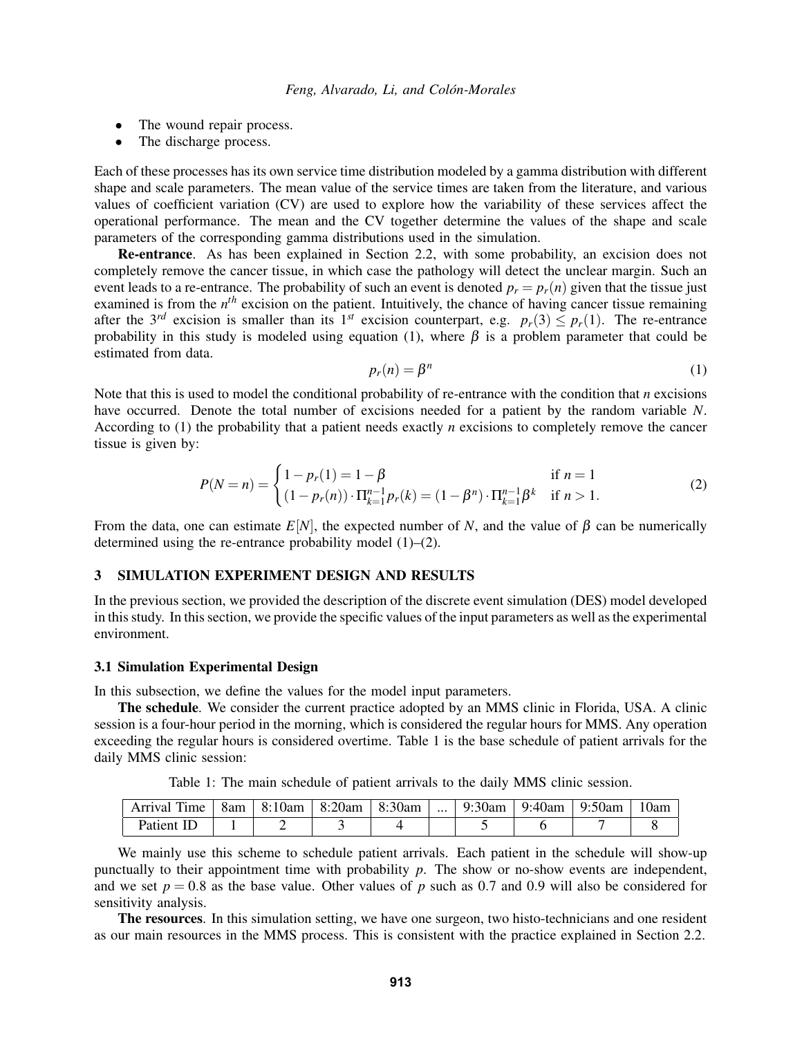- The wound repair process.
- The discharge process.

Each of these processes has its own service time distribution modeled by a gamma distribution with different shape and scale parameters. The mean value of the service times are taken from the literature, and various values of coefficient variation (CV) are used to explore how the variability of these services affect the operational performance. The mean and the CV together determine the values of the shape and scale parameters of the corresponding gamma distributions used in the simulation.

Re-entrance. As has been explained in Section [2.2,](#page-1-0) with some probability, an excision does not completely remove the cancer tissue, in which case the pathology will detect the unclear margin. Such an event leads to a re-entrance. The probability of such an event is denoted  $p_r = p_r(n)$  given that the tissue just examined is from the *n<sup>th</sup>* excision on the patient. Intuitively, the chance of having cancer tissue remaining after the 3<sup>rd</sup> excision is smaller than its 1<sup>st</sup> excision counterpart, e.g.  $p_r(3) \leq p_r(1)$ . The re-entrance probability in this study is modeled using equation [\(1\)](#page-3-1), where  $\beta$  is a problem parameter that could be estimated from data.

<span id="page-3-1"></span>
$$
p_r(n) = \beta^n \tag{1}
$$

Note that this is used to model the conditional probability of re-entrance with the condition that *n* excisions have occurred. Denote the total number of excisions needed for a patient by the random variable *N*. According to [\(1\)](#page-3-1) the probability that a patient needs exactly *n* excisions to completely remove the cancer tissue is given by:

<span id="page-3-2"></span>
$$
P(N = n) = \begin{cases} 1 - p_r(1) = 1 - \beta & \text{if } n = 1\\ (1 - p_r(n)) \cdot \Pi_{k=1}^{n-1} p_r(k) = (1 - \beta^n) \cdot \Pi_{k=1}^{n-1} \beta^k & \text{if } n > 1. \end{cases}
$$
(2)

From the data, one can estimate  $E[N]$ , the expected number of *N*, and the value of  $\beta$  can be numerically determined using the re-entrance probability model [\(1\)](#page-3-1)–[\(2\)](#page-3-2).

# 3 SIMULATION EXPERIMENT DESIGN AND RESULTS

In the previous section, we provided the description of the discrete event simulation (DES) model developed in this study. In this section, we provide the specific values of the input parameters as well as the experimental environment.

#### <span id="page-3-0"></span>3.1 Simulation Experimental Design

In this subsection, we define the values for the model input parameters.

The schedule. We consider the current practice adopted by an MMS clinic in Florida, USA. A clinic session is a four-hour period in the morning, which is considered the regular hours for MMS. Any operation exceeding the regular hours is considered overtime. Table [1](#page-3-3) is the base schedule of patient arrivals for the daily MMS clinic session:

| rent i<br>Arrıval<br>$1$ me | 8am | 8:10am | 8:20am | 8:30am | $\cdots$ | 9:30am<br>u∙ | 9:40am | 9:50am | <b>Uam</b> |
|-----------------------------|-----|--------|--------|--------|----------|--------------|--------|--------|------------|
| Patient                     |     |        |        |        |          |              |        |        |            |

<span id="page-3-3"></span>Table 1: The main schedule of patient arrivals to the daily MMS clinic session.

We mainly use this scheme to schedule patient arrivals. Each patient in the schedule will show-up punctually to their appointment time with probability *p*. The show or no-show events are independent, and we set  $p = 0.8$  as the base value. Other values of p such as 0.7 and 0.9 will also be considered for sensitivity analysis.

The resources. In this simulation setting, we have one surgeon, two histo-technicians and one resident as our main resources in the MMS process. This is consistent with the practice explained in Section [2.2.](#page-1-0)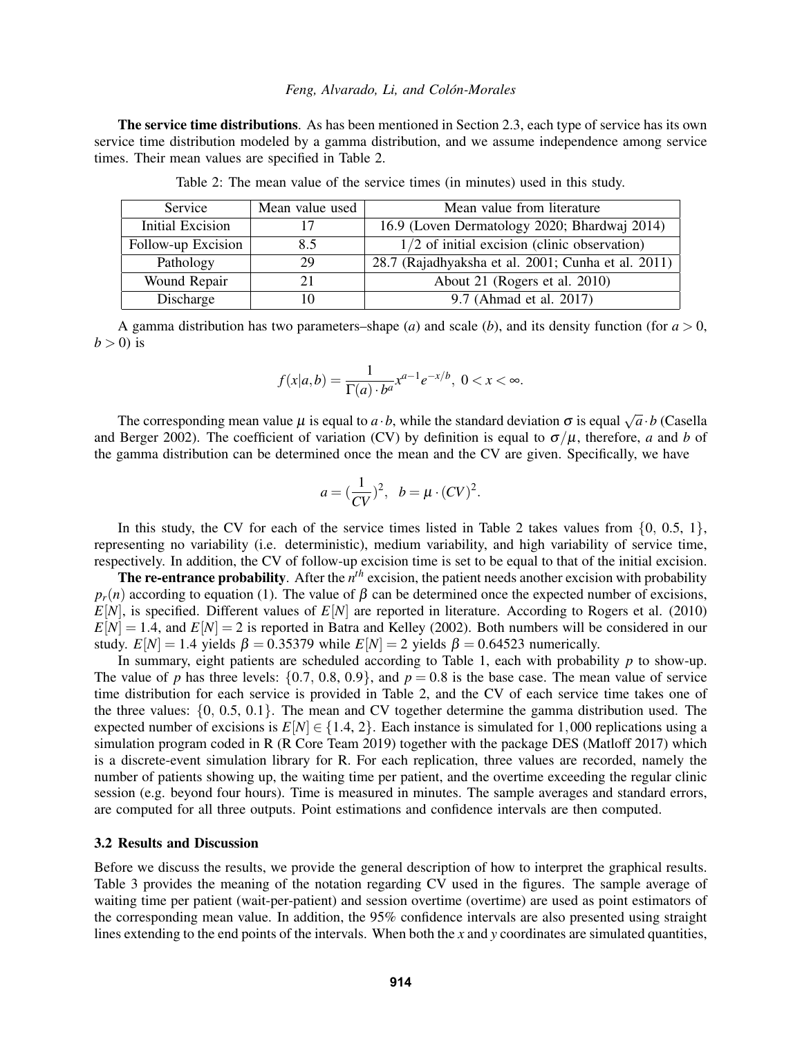The service time distributions. As has been mentioned in Section [2.3,](#page-2-0) each type of service has its own service time distribution modeled by a gamma distribution, and we assume independence among service times. Their mean values are specified in Table [2.](#page-4-0)

| Service            | Mean value used | Mean value from literature                         |  |  |
|--------------------|-----------------|----------------------------------------------------|--|--|
| Initial Excision   |                 | 16.9 (Loven Dermatology 2020; Bhardwaj 2014)       |  |  |
| Follow-up Excision | 8.5             | $1/2$ of initial excision (clinic observation)     |  |  |
| Pathology          | 29              | 28.7 (Rajadhyaksha et al. 2001; Cunha et al. 2011) |  |  |
| Wound Repair       | 21              | About 21 (Rogers et al. 2010)                      |  |  |
| Discharge          |                 | 9.7 (Ahmad et al. 2017)                            |  |  |

<span id="page-4-0"></span>Table 2: The mean value of the service times (in minutes) used in this study.

A gamma distribution has two parameters–shape (*a*) and scale (*b*), and its density function (for  $a > 0$ ,  $b > 0$ ) is

$$
f(x|a,b) = \frac{1}{\Gamma(a) \cdot b^a} x^{a-1} e^{-x/b}, \ 0 < x < \infty.
$$

The corresponding mean value  $\mu$  is equal to  $a \cdot b$ , while the standard deviation  $\sigma$  is equal  $\sqrt{a} \cdot b$  [\(Casella](#page-10-14) [and Berger 2002\)](#page-10-14). The coefficient of variation (CV) by definition is equal to  $\sigma/\mu$ , therefore, *a* and *b* of the gamma distribution can be determined once the mean and the CV are given. Specifically, we have

$$
a = \left(\frac{1}{CV}\right)^2, \quad b = \mu \cdot (CV)^2.
$$

In this study, the CV for each of the service times listed in Table [2](#page-4-0) takes values from  $\{0, 0.5, 1\}$ , representing no variability (i.e. deterministic), medium variability, and high variability of service time, respectively. In addition, the CV of follow-up excision time is set to be equal to that of the initial excision.

The re-entrance probability. After the  $n^{th}$  excision, the patient needs another excision with probability  $p_r(n)$  according to equation [\(1\)](#page-3-1). The value of  $\beta$  can be determined once the expected number of excisions,  $E[N]$ , is specified. Different values of  $E[N]$  are reported in literature. According to [Rogers et al. \(2010\)](#page-11-12)  $E[N] = 1.4$ , and  $E[N] = 2$  is reported in [Batra and Kelley \(2002\).](#page-10-15) Both numbers will be considered in our study.  $E[N] = 1.4$  yields  $\beta = 0.35379$  while  $E[N] = 2$  yields  $\beta = 0.64523$  numerically.

In summary, eight patients are scheduled according to Table [1,](#page-3-3) each with probability *p* to show-up. The value of *p* has three levels:  $\{0.7, 0.8, 0.9\}$ , and  $p = 0.8$  is the base case. The mean value of service time distribution for each service is provided in Table [2,](#page-4-0) and the CV of each service time takes one of the three values: {0, 0.5, 0.1}. The mean and CV together determine the gamma distribution used. The expected number of excisions is  $E[N] \in \{1.4, 2\}$ . Each instance is simulated for 1,000 replications using a simulation program coded in R [\(R Core Team 2019\)](#page-11-13) together with the package DES [\(Matloff 2017\)](#page-11-14) which is a discrete-event simulation library for R. For each replication, three values are recorded, namely the number of patients showing up, the waiting time per patient, and the overtime exceeding the regular clinic session (e.g. beyond four hours). Time is measured in minutes. The sample averages and standard errors, are computed for all three outputs. Point estimations and confidence intervals are then computed.

### 3.2 Results and Discussion

Before we discuss the results, we provide the general description of how to interpret the graphical results. Table [3](#page-5-0) provides the meaning of the notation regarding CV used in the figures. The sample average of waiting time per patient (wait-per-patient) and session overtime (overtime) are used as point estimators of the corresponding mean value. In addition, the 95% confidence intervals are also presented using straight lines extending to the end points of the intervals. When both the *x* and *y* coordinates are simulated quantities,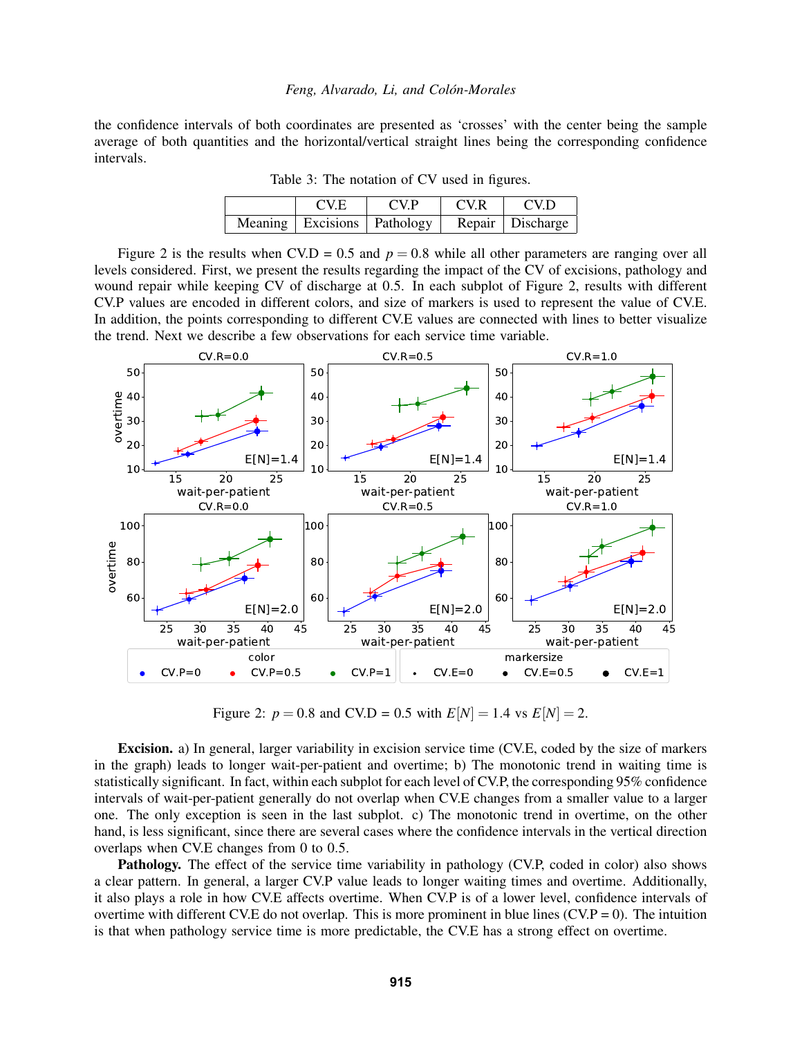the confidence intervals of both coordinates are presented as 'crosses' with the center being the sample average of both quantities and the horizontal/vertical straight lines being the corresponding confidence intervals.

| <b>CV.E</b> | CVP                             | CV.R | CV <sub>D</sub>    |
|-------------|---------------------------------|------|--------------------|
|             | Meaning   Excisions   Pathology |      | Repair   Discharge |

<span id="page-5-0"></span>Table 3: The notation of CV used in figures.

Figure [2](#page-5-1) is the results when CV.D =  $0.5$  and  $p = 0.8$  while all other parameters are ranging over all levels considered. First, we present the results regarding the impact of the CV of excisions, pathology and wound repair while keeping CV of discharge at 0.5. In each subplot of Figure [2,](#page-5-1) results with different CV.P values are encoded in different colors, and size of markers is used to represent the value of CV.E. In addition, the points corresponding to different CV.E values are connected with lines to better visualize the trend. Next we describe a few observations for each service time variable.



<span id="page-5-1"></span>Figure 2:  $p = 0.8$  and CV.D = 0.5 with  $E[N] = 1.4$  vs  $E[N] = 2$ .

Excision. a) In general, larger variability in excision service time (CV.E, coded by the size of markers in the graph) leads to longer wait-per-patient and overtime; b) The monotonic trend in waiting time is statistically significant. In fact, within each subplot for each level of CV.P, the corresponding 95% confidence intervals of wait-per-patient generally do not overlap when CV.E changes from a smaller value to a larger one. The only exception is seen in the last subplot. c) The monotonic trend in overtime, on the other hand, is less significant, since there are several cases where the confidence intervals in the vertical direction overlaps when CV.E changes from 0 to 0.5.

Pathology. The effect of the service time variability in pathology (CV.P, coded in color) also shows a clear pattern. In general, a larger CV.P value leads to longer waiting times and overtime. Additionally, it also plays a role in how CV.E affects overtime. When CV.P is of a lower level, confidence intervals of overtime with different CV.E do not overlap. This is more prominent in blue lines  $(CVP = 0)$ . The intuition is that when pathology service time is more predictable, the CV.E has a strong effect on overtime.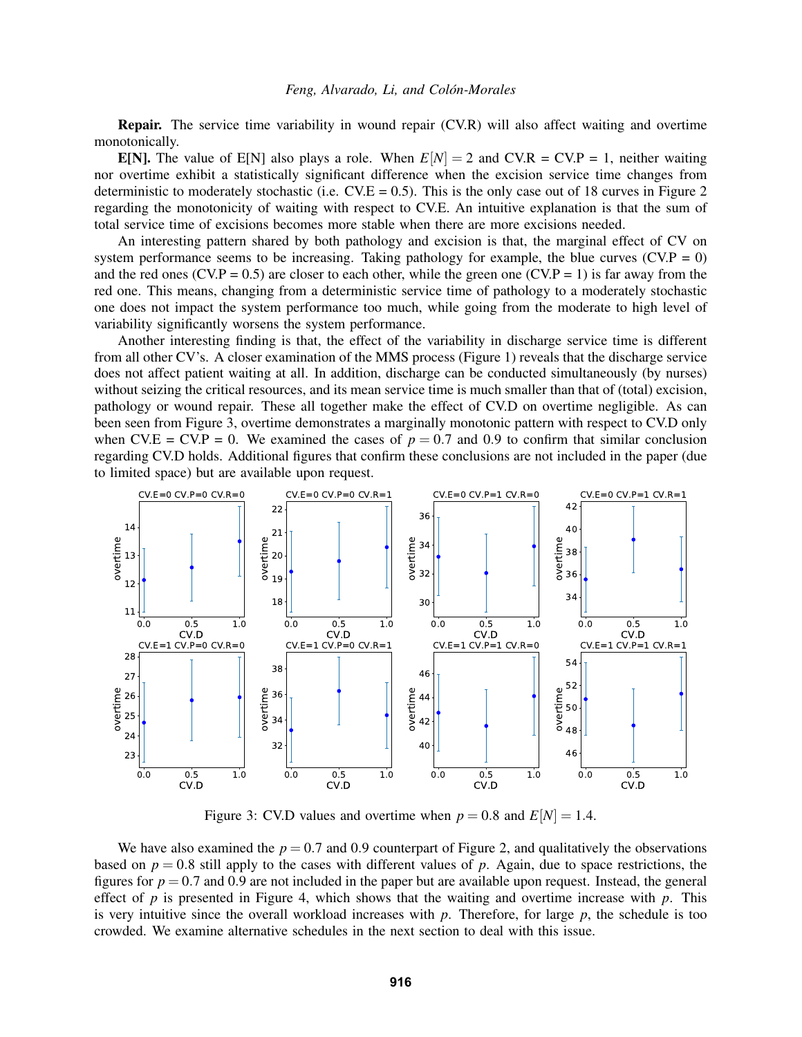Repair. The service time variability in wound repair (CV.R) will also affect waiting and overtime monotonically.

**E[N].** The value of E[N] also plays a role. When  $E[N] = 2$  and  $CVR = CV.P = 1$ , neither waiting nor overtime exhibit a statistically significant difference when the excision service time changes from deterministic to moderately stochastic (i.e.  $CV.E = 0.5$ ). This is the only case out of 18 curves in Figure [2](#page-5-1) regarding the monotonicity of waiting with respect to CV.E. An intuitive explanation is that the sum of total service time of excisions becomes more stable when there are more excisions needed.

An interesting pattern shared by both pathology and excision is that, the marginal effect of CV on system performance seems to be increasing. Taking pathology for example, the blue curves ( $CV.P = 0$ ) and the red ones (CV.P = 0.5) are closer to each other, while the green one (CV.P = 1) is far away from the red one. This means, changing from a deterministic service time of pathology to a moderately stochastic one does not impact the system performance too much, while going from the moderate to high level of variability significantly worsens the system performance.

Another interesting finding is that, the effect of the variability in discharge service time is different from all other CV's. A closer examination of the MMS process (Figure [1\)](#page-2-1) reveals that the discharge service does not affect patient waiting at all. In addition, discharge can be conducted simultaneously (by nurses) without seizing the critical resources, and its mean service time is much smaller than that of (total) excision, pathology or wound repair. These all together make the effect of CV.D on overtime negligible. As can been seen from Figure [3,](#page-6-0) overtime demonstrates a marginally monotonic pattern with respect to CV.D only when CV.E = CV.P = 0. We examined the cases of  $p = 0.7$  and 0.9 to confirm that similar conclusion regarding CV.D holds. Additional figures that confirm these conclusions are not included in the paper (due to limited space) but are available upon request.



<span id="page-6-0"></span>Figure 3: CV.D values and overtime when  $p = 0.8$  and  $E[N] = 1.4$ .

We have also examined the  $p = 0.7$  and 0.9 counterpart of Figure [2,](#page-5-1) and qualitatively the observations based on  $p = 0.8$  still apply to the cases with different values of p. Again, due to space restrictions, the figures for  $p = 0.7$  and 0.9 are not included in the paper but are available upon request. Instead, the general effect of  $p$  is presented in Figure [4,](#page-7-0) which shows that the waiting and overtime increase with  $p$ . This is very intuitive since the overall workload increases with  $p$ . Therefore, for large  $p$ , the schedule is too crowded. We examine alternative schedules in the next section to deal with this issue.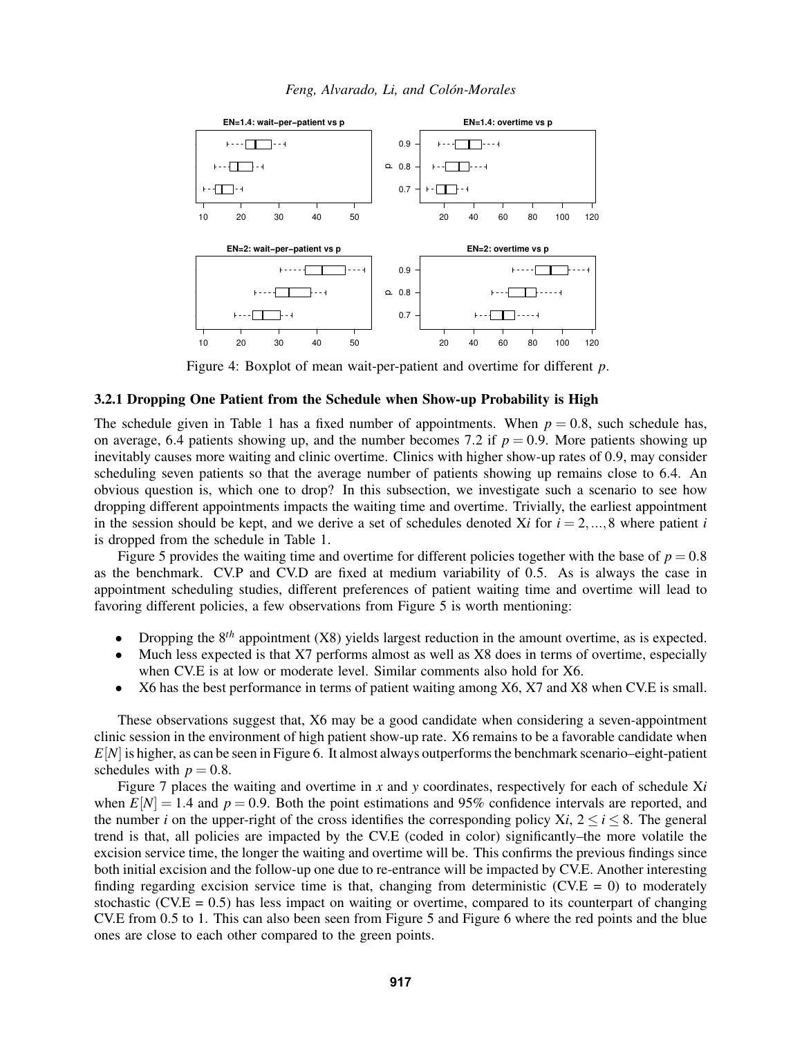



<span id="page-7-0"></span>Figure 4: Boxplot of mean wait-per-patient and overtime for different *p*.

## 3.2.1 Dropping One Patient from the Schedule when Show-up Probability is High

The schedule given in Table [1](#page-3-3) has a fixed number of appointments. When  $p = 0.8$ , such schedule has, on average, 6.4 patients showing up, and the number becomes 7.2 if  $p = 0.9$ . More patients showing up inevitably causes more waiting and clinic overtime. Clinics with higher show-up rates of 0.9, may consider scheduling seven patients so that the average number of patients showing up remains close to 6.4. An obvious question is, which one to drop? In this subsection, we investigate such a scenario to see how dropping different appointments impacts the waiting time and overtime. Trivially, the earliest appointment in the session should be kept, and we derive a set of schedules denoted X*i* for  $i = 2, ..., 8$  where patient *i* is dropped from the schedule in Table [1.](#page-3-3)

Figure [5](#page-8-0) provides the waiting time and overtime for different policies together with the base of  $p = 0.8$ as the benchmark. CV.P and CV.D are fixed at medium variability of 0.5. As is always the case in appointment scheduling studies, different preferences of patient waiting time and overtime will lead to favoring different policies, a few observations from Figure [5](#page-8-0) is worth mentioning:

- Dropping the 8*th* appointment (X8) yields largest reduction in the amount overtime, as is expected.
- Much less expected is that X7 performs almost as well as X8 does in terms of overtime, especially when CV.E is at low or moderate level. Similar comments also hold for X6.
- X6 has the best performance in terms of patient waiting among X6, X7 and X8 when CV.E is small.

These observations suggest that, X6 may be a good candidate when considering a seven-appointment clinic session in the environment of high patient show-up rate. X6 remains to be a favorable candidate when *E*[*N*] is higher, as can be seen in Figure [6.](#page-8-1) It almost always outperforms the benchmark scenario–eight-patient schedules with  $p = 0.8$ .

Figure [7](#page-9-0) places the waiting and overtime in *x* and *y* coordinates, respectively for each of schedule X*i* when  $E[N] = 1.4$  and  $p = 0.9$ . Both the point estimations and 95% confidence intervals are reported, and the number *i* on the upper-right of the cross identifies the corresponding policy  $Xi$ ,  $2 \le i \le 8$ . The general trend is that, all policies are impacted by the CV.E (coded in color) significantly–the more volatile the excision service time, the longer the waiting and overtime will be. This confirms the previous findings since both initial excision and the follow-up one due to re-entrance will be impacted by CV.E. Another interesting finding regarding excision service time is that, changing from deterministic (CV. $E = 0$ ) to moderately stochastic (CV. $E = 0.5$ ) has less impact on waiting or overtime, compared to its counterpart of changing CV.E from 0.5 to 1. This can also been seen from Figure [5](#page-8-0) and Figure [6](#page-8-1) where the red points and the blue ones are close to each other compared to the green points.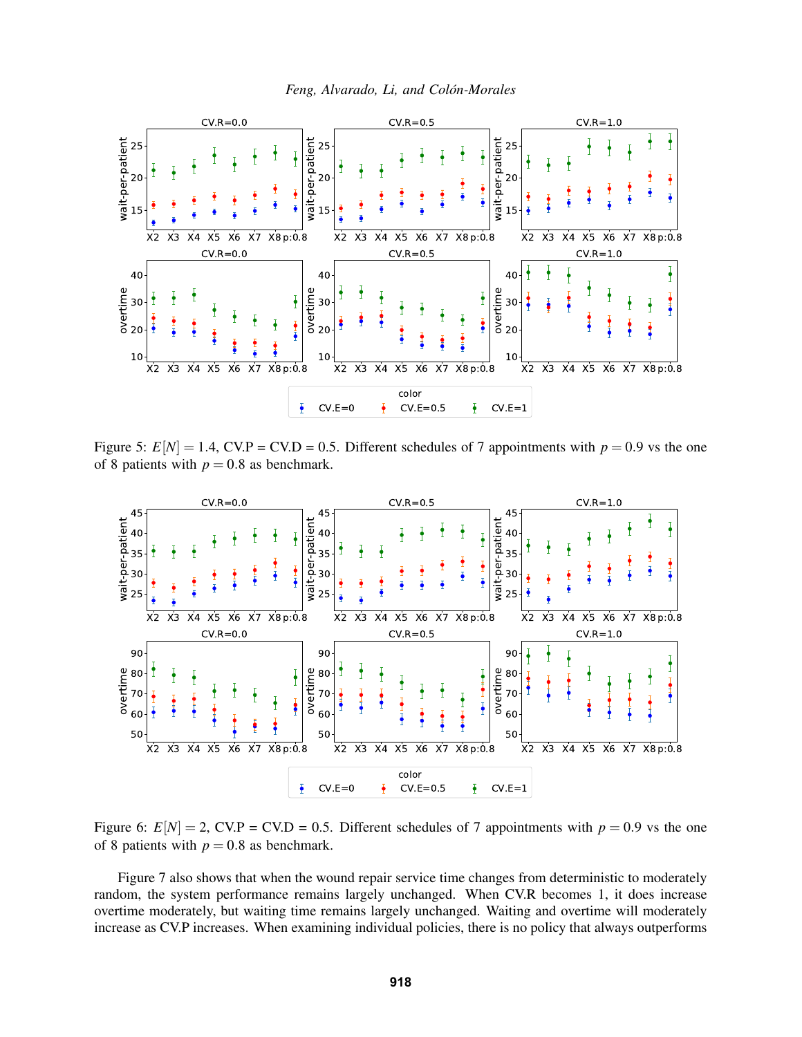

<span id="page-8-0"></span>Figure 5:  $E[N] = 1.4$ , CV.P = CV.D = 0.5. Different schedules of 7 appointments with  $p = 0.9$  vs the one of 8 patients with  $p = 0.8$  as benchmark.



<span id="page-8-1"></span>Figure 6:  $E[N] = 2$ , CV.P = CV.D = 0.5. Different schedules of 7 appointments with  $p = 0.9$  vs the one of 8 patients with  $p = 0.8$  as benchmark.

Figure [7](#page-9-0) also shows that when the wound repair service time changes from deterministic to moderately random, the system performance remains largely unchanged. When CV.R becomes 1, it does increase overtime moderately, but waiting time remains largely unchanged. Waiting and overtime will moderately increase as CV.P increases. When examining individual policies, there is no policy that always outperforms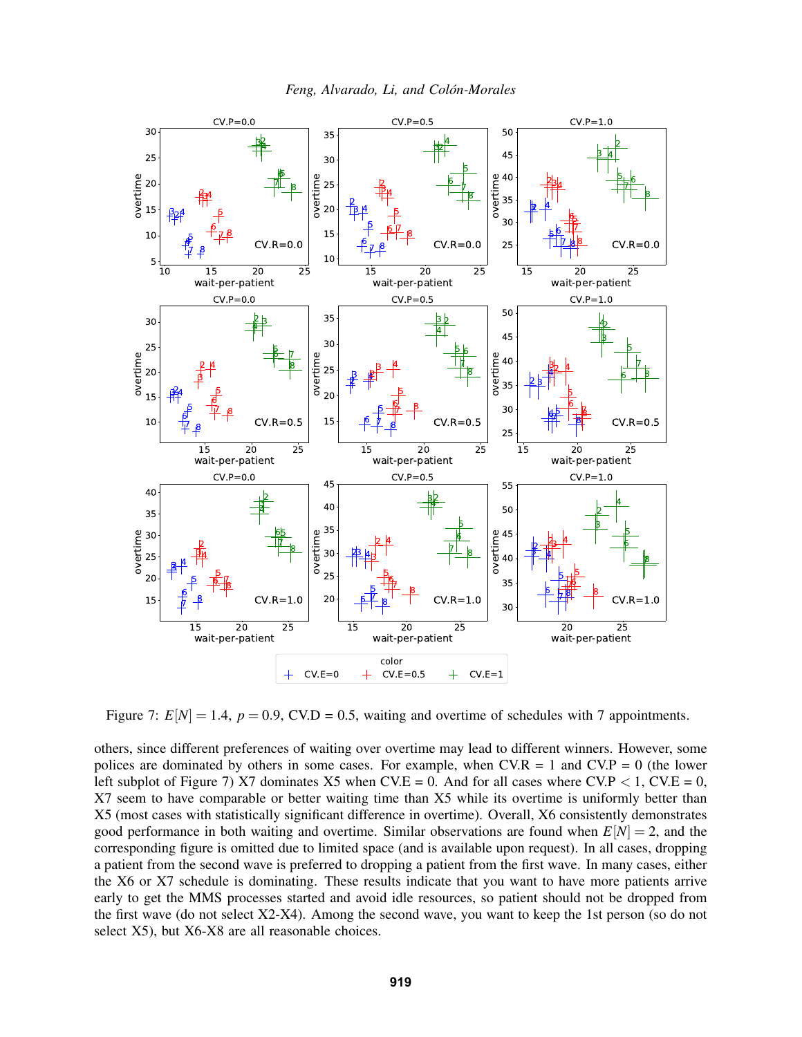



<span id="page-9-0"></span>Figure 7:  $E[N] = 1.4$ ,  $p = 0.9$ , CV.D = 0.5, waiting and overtime of schedules with 7 appointments.

others, since different preferences of waiting over overtime may lead to different winners. However, some polices are dominated by others in some cases. For example, when  $CVR = 1$  and  $CVP = 0$  (the lower left subplot of Figure [7\)](#page-9-0) X7 dominates X5 when CV.E = 0. And for all cases where CV.P  $\lt$  1, CV.E = 0, X7 seem to have comparable or better waiting time than X5 while its overtime is uniformly better than X5 (most cases with statistically significant difference in overtime). Overall, X6 consistently demonstrates good performance in both waiting and overtime. Similar observations are found when  $E[N] = 2$ , and the corresponding figure is omitted due to limited space (and is available upon request). In all cases, dropping a patient from the second wave is preferred to dropping a patient from the first wave. In many cases, either the X6 or X7 schedule is dominating. These results indicate that you want to have more patients arrive early to get the MMS processes started and avoid idle resources, so patient should not be dropped from the first wave (do not select X2-X4). Among the second wave, you want to keep the 1st person (so do not select X5), but X6-X8 are all reasonable choices.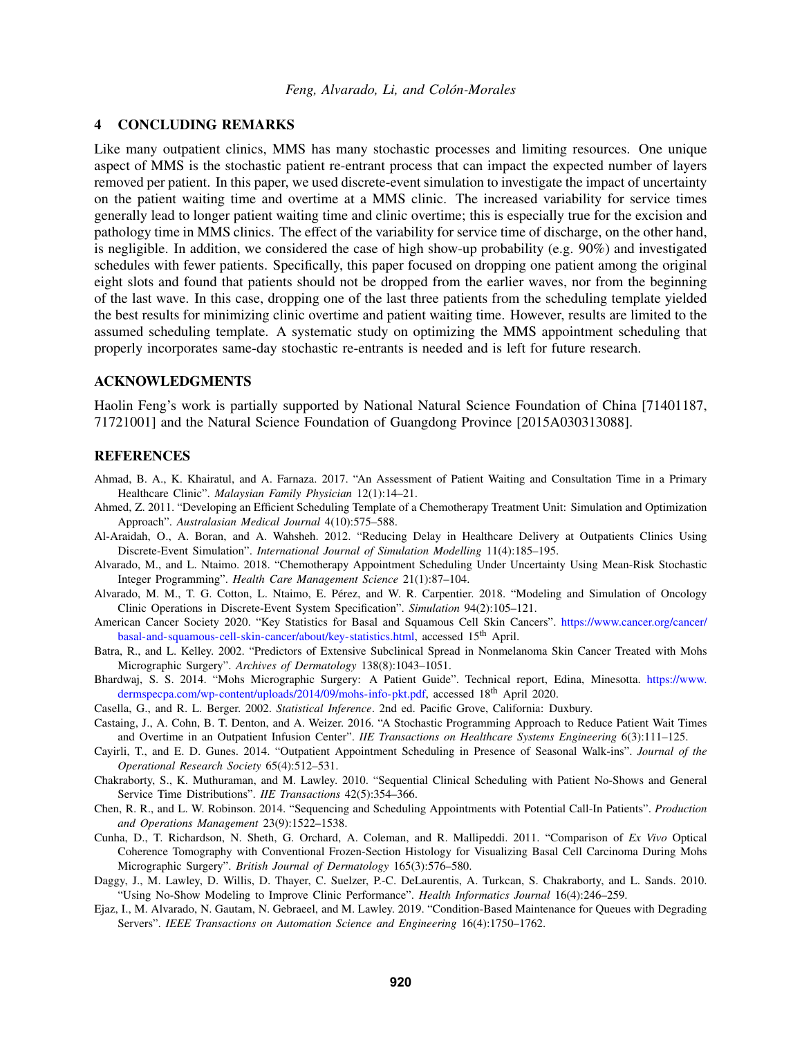## 4 CONCLUDING REMARKS

Like many outpatient clinics, MMS has many stochastic processes and limiting resources. One unique aspect of MMS is the stochastic patient re-entrant process that can impact the expected number of layers removed per patient. In this paper, we used discrete-event simulation to investigate the impact of uncertainty on the patient waiting time and overtime at a MMS clinic. The increased variability for service times generally lead to longer patient waiting time and clinic overtime; this is especially true for the excision and pathology time in MMS clinics. The effect of the variability for service time of discharge, on the other hand, is negligible. In addition, we considered the case of high show-up probability (e.g. 90%) and investigated schedules with fewer patients. Specifically, this paper focused on dropping one patient among the original eight slots and found that patients should not be dropped from the earlier waves, nor from the beginning of the last wave. In this case, dropping one of the last three patients from the scheduling template yielded the best results for minimizing clinic overtime and patient waiting time. However, results are limited to the assumed scheduling template. A systematic study on optimizing the MMS appointment scheduling that properly incorporates same-day stochastic re-entrants is needed and is left for future research.

## ACKNOWLEDGMENTS

Haolin Feng's work is partially supported by National Natural Science Foundation of China [71401187, 71721001] and the Natural Science Foundation of Guangdong Province [2015A030313088].

### **REFERENCES**

- <span id="page-10-13"></span>Ahmad, B. A., K. Khairatul, and A. Farnaza. 2017. "An Assessment of Patient Waiting and Consultation Time in a Primary Healthcare Clinic". *Malaysian Family Physician* 12(1):14–21.
- <span id="page-10-6"></span>Ahmed, Z. 2011. "Developing an Efficient Scheduling Template of a Chemotherapy Treatment Unit: Simulation and Optimization Approach". *Australasian Medical Journal* 4(10):575–588.
- <span id="page-10-4"></span>Al-Araidah, O., A. Boran, and A. Wahsheh. 2012. "Reducing Delay in Healthcare Delivery at Outpatients Clinics Using Discrete-Event Simulation". *International Journal of Simulation Modelling* 11(4):185–195.
- <span id="page-10-5"></span>Alvarado, M., and L. Ntaimo. 2018. "Chemotherapy Appointment Scheduling Under Uncertainty Using Mean-Risk Stochastic Integer Programming". *Health Care Management Science* 21(1):87–104.
- <span id="page-10-2"></span>Alvarado, M. M., T. G. Cotton, L. Ntaimo, E. Perez, and W. R. Carpentier. 2018. "Modeling and Simulation of Oncology ´ Clinic Operations in Discrete-Event System Specification". *Simulation* 94(2):105–121.
- <span id="page-10-0"></span>American Cancer Society 2020. "Key Statistics for Basal and Squamous Cell Skin Cancers". [https://www.cancer.org/cancer/](https://www.cancer.org/cancer/basal-and-squamous-cell-skin-cancer/about/key-statistics.html) [basal-and-squamous-cell-skin-cancer/about/key-statistics.html,](https://www.cancer.org/cancer/basal-and-squamous-cell-skin-cancer/about/key-statistics.html) accessed 15<sup>th</sup> April.
- <span id="page-10-15"></span>Batra, R., and L. Kelley. 2002. "Predictors of Extensive Subclinical Spread in Nonmelanoma Skin Cancer Treated with Mohs Micrographic Surgery". *Archives of Dermatology* 138(8):1043–1051.
- <span id="page-10-11"></span>Bhardwaj, S. S. 2014. "Mohs Micrographic Surgery: A Patient Guide". Technical report, Edina, Minesotta. [https://www.](https://www.dermspecpa.com/wp-content/uploads/2014/09/mohs-info-pkt.pdf) [dermspecpa.com/wp-content/uploads/2014/09/mohs-info-pkt.pdf,](https://www.dermspecpa.com/wp-content/uploads/2014/09/mohs-info-pkt.pdf) accessed 18<sup>th</sup> April 2020.
- <span id="page-10-14"></span>Casella, G., and R. L. Berger. 2002. *Statistical Inference*. 2nd ed. Pacific Grove, California: Duxbury.
- <span id="page-10-7"></span>Castaing, J., A. Cohn, B. T. Denton, and A. Weizer. 2016. "A Stochastic Programming Approach to Reduce Patient Wait Times and Overtime in an Outpatient Infusion Center". *IIE Transactions on Healthcare Systems Engineering* 6(3):111–125.
- <span id="page-10-8"></span>Cayirli, T., and E. D. Gunes. 2014. "Outpatient Appointment Scheduling in Presence of Seasonal Walk-ins". *Journal of the Operational Research Society* 65(4):512–531.
- <span id="page-10-10"></span>Chakraborty, S., K. Muthuraman, and M. Lawley. 2010. "Sequential Clinical Scheduling with Patient No-Shows and General Service Time Distributions". *IIE Transactions* 42(5):354–366.
- <span id="page-10-9"></span>Chen, R. R., and L. W. Robinson. 2014. "Sequencing and Scheduling Appointments with Potential Call-In Patients". *Production and Operations Management* 23(9):1522–1538.
- <span id="page-10-12"></span>Cunha, D., T. Richardson, N. Sheth, G. Orchard, A. Coleman, and R. Mallipeddi. 2011. "Comparison of *Ex Vivo* Optical Coherence Tomography with Conventional Frozen-Section Histology for Visualizing Basal Cell Carcinoma During Mohs Micrographic Surgery". *British Journal of Dermatology* 165(3):576–580.
- <span id="page-10-1"></span>Daggy, J., M. Lawley, D. Willis, D. Thayer, C. Suelzer, P.-C. DeLaurentis, A. Turkcan, S. Chakraborty, and L. Sands. 2010. "Using No-Show Modeling to Improve Clinic Performance". *Health Informatics Journal* 16(4):246–259.
- <span id="page-10-3"></span>Ejaz, I., M. Alvarado, N. Gautam, N. Gebraeel, and M. Lawley. 2019. "Condition-Based Maintenance for Queues with Degrading Servers". *IEEE Transactions on Automation Science and Engineering* 16(4):1750–1762.